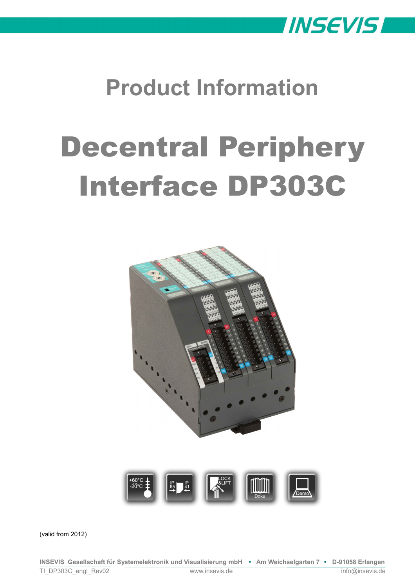

# **Product Information**

# Decentral Periphery Interface DP303C



(valid from 2012)

**INSEVIS Gesellschaft für Systemelektronik und Visualisierung mbH • Am Weichselgarten 7 • D-91058 Erlangen** TI\_DP303C\_engl\_Rev02 www.insevis.de info@insevis.de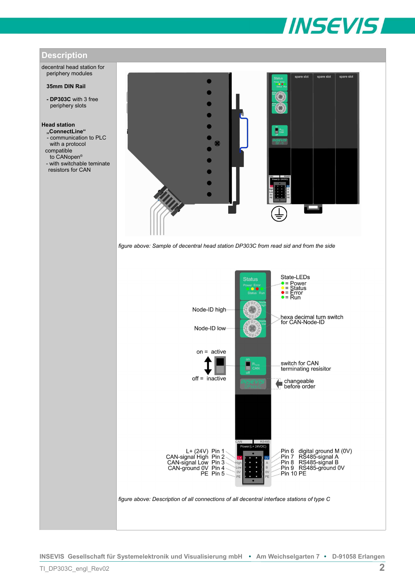

spare slot

-Pin 6 digital ground M (0V)<br>-Pin 7 RS485-signal A<br>-Pin 8 RS485-signal B<br>-Pin 9 RS485-ground 0V

 $Pin 10 PE$ 

spare slot



decentral head station for periphery modules

#### **35mm DIN Rail**

**- DP303C** with 3 free periphery slots

# **Head station**

- **"ConnectLine"** - communication to PLC with a protocol
- compatible
- to CANopen® - with switchable teminate
- resistors for CAN



Ë

L+ (24V) Pin 1<br>CAN-signal High Pin 2<br>CAN-signal Low Pin 3<br>CAN-ground 0V Pin 4<br>PE Pin 5